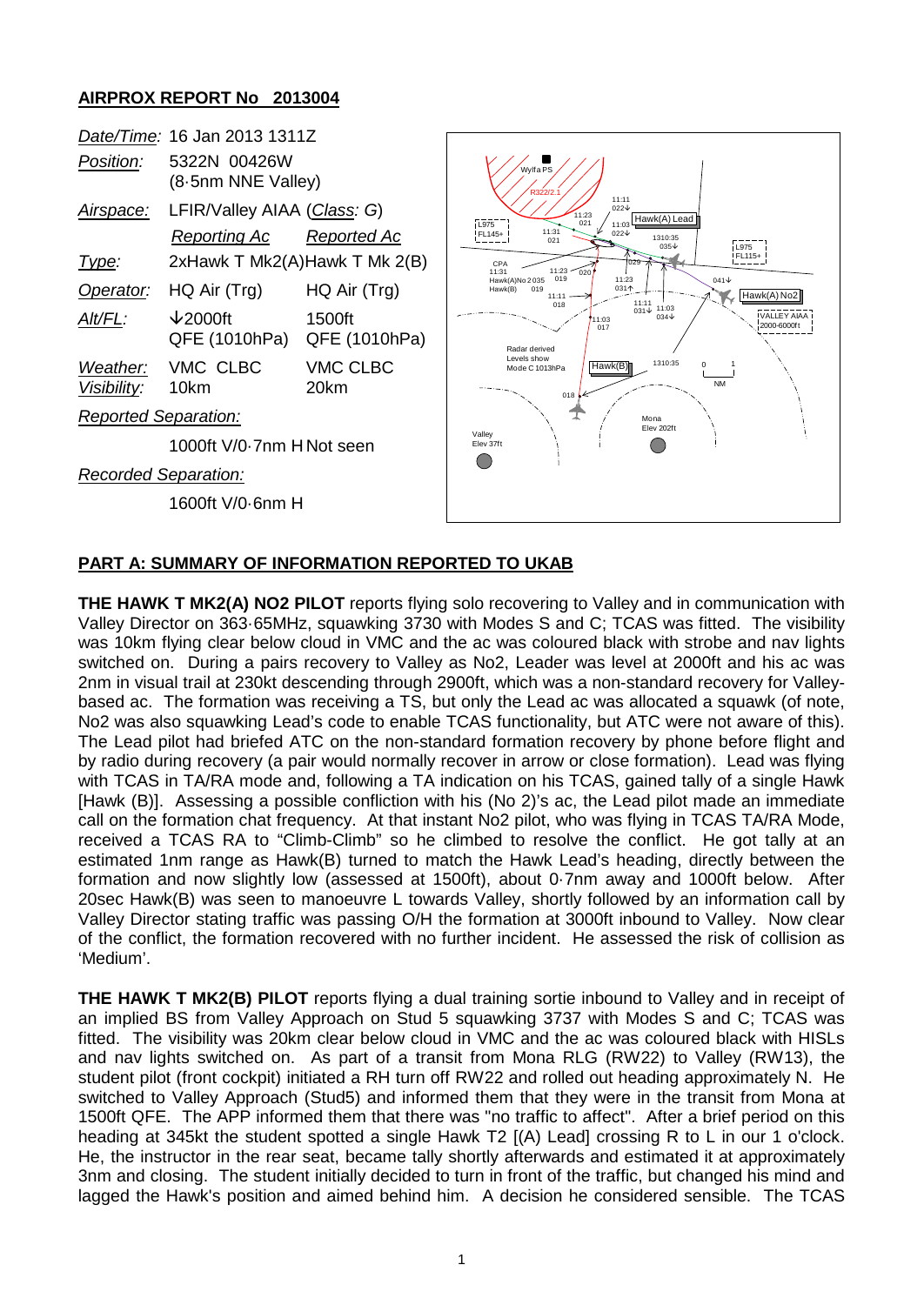## **AIRPROX REPORT No 2013004**

|                             | Date/Time: 16 Jan 2013 1311Z                       |                         |  |
|-----------------------------|----------------------------------------------------|-------------------------|--|
| Position:                   | 5322N 00426W<br>(8-5nm NNE Valley)                 |                         |  |
| <u>Airspace:</u>            | LFIR/Valley AIAA (Class: G)                        |                         |  |
|                             | Reporting Ac                                       | Reported Ac             |  |
| lype:                       | 2xHawk T Mk2(A)Hawk T Mk 2(B)                      |                         |  |
| Operator:                   | HQ Air (Trg)                                       | HQ Air (Trg)            |  |
| Alt/FL:                     | $\downarrow$ 2000ft<br>QFE (1010hPa) QFE (1010hPa) | 1500ft                  |  |
| Visibility:                 | Weather: VMC CLBC<br>10km                          | <b>VMC CLBC</b><br>20km |  |
| <b>Reported Separation:</b> |                                                    |                         |  |
|                             | 1000ft V/0-7nm HNot seen                           |                         |  |
| Recorded Separation:        |                                                    |                         |  |

1600ft V/0·6nm H



## **PART A: SUMMARY OF INFORMATION REPORTED TO UKAB**

**THE HAWK T MK2(A) NO2 PILOT** reports flying solo recovering to Valley and in communication with Valley Director on 363·65MHz, squawking 3730 with Modes S and C; TCAS was fitted. The visibility was 10km flying clear below cloud in VMC and the ac was coloured black with strobe and nav lights switched on. During a pairs recovery to Valley as No2, Leader was level at 2000ft and his ac was 2nm in visual trail at 230kt descending through 2900ft, which was a non-standard recovery for Valleybased ac. The formation was receiving a TS, but only the Lead ac was allocated a squawk (of note, No2 was also squawking Lead's code to enable TCAS functionality, but ATC were not aware of this). The Lead pilot had briefed ATC on the non-standard formation recovery by phone before flight and by radio during recovery (a pair would normally recover in arrow or close formation). Lead was flying with TCAS in TA/RA mode and, following a TA indication on his TCAS, gained tally of a single Hawk [Hawk (B)]. Assessing a possible confliction with his (No 2)'s ac, the Lead pilot made an immediate call on the formation chat frequency. At that instant No2 pilot, who was flying in TCAS TA/RA Mode, received a TCAS RA to "Climb-Climb" so he climbed to resolve the conflict. He got tally at an estimated 1nm range as Hawk(B) turned to match the Hawk Lead's heading, directly between the formation and now slightly low (assessed at 1500ft), about 0·7nm away and 1000ft below. After 20sec Hawk(B) was seen to manoeuvre L towards Valley, shortly followed by an information call by Valley Director stating traffic was passing O/H the formation at 3000ft inbound to Valley. Now clear of the conflict, the formation recovered with no further incident. He assessed the risk of collision as 'Medium'.

**THE HAWK T MK2(B) PILOT** reports flying a dual training sortie inbound to Valley and in receipt of an implied BS from Valley Approach on Stud 5 squawking 3737 with Modes S and C; TCAS was fitted. The visibility was 20km clear below cloud in VMC and the ac was coloured black with HISLs and nav lights switched on. As part of a transit from Mona RLG (RW22) to Valley (RW13), the student pilot (front cockpit) initiated a RH turn off RW22 and rolled out heading approximately N. He switched to Valley Approach (Stud5) and informed them that they were in the transit from Mona at 1500ft QFE. The APP informed them that there was "no traffic to affect". After a brief period on this heading at 345kt the student spotted a single Hawk T2 [(A) Lead] crossing R to L in our 1 o'clock. He, the instructor in the rear seat, became tally shortly afterwards and estimated it at approximately 3nm and closing. The student initially decided to turn in front of the traffic, but changed his mind and lagged the Hawk's position and aimed behind him. A decision he considered sensible. The TCAS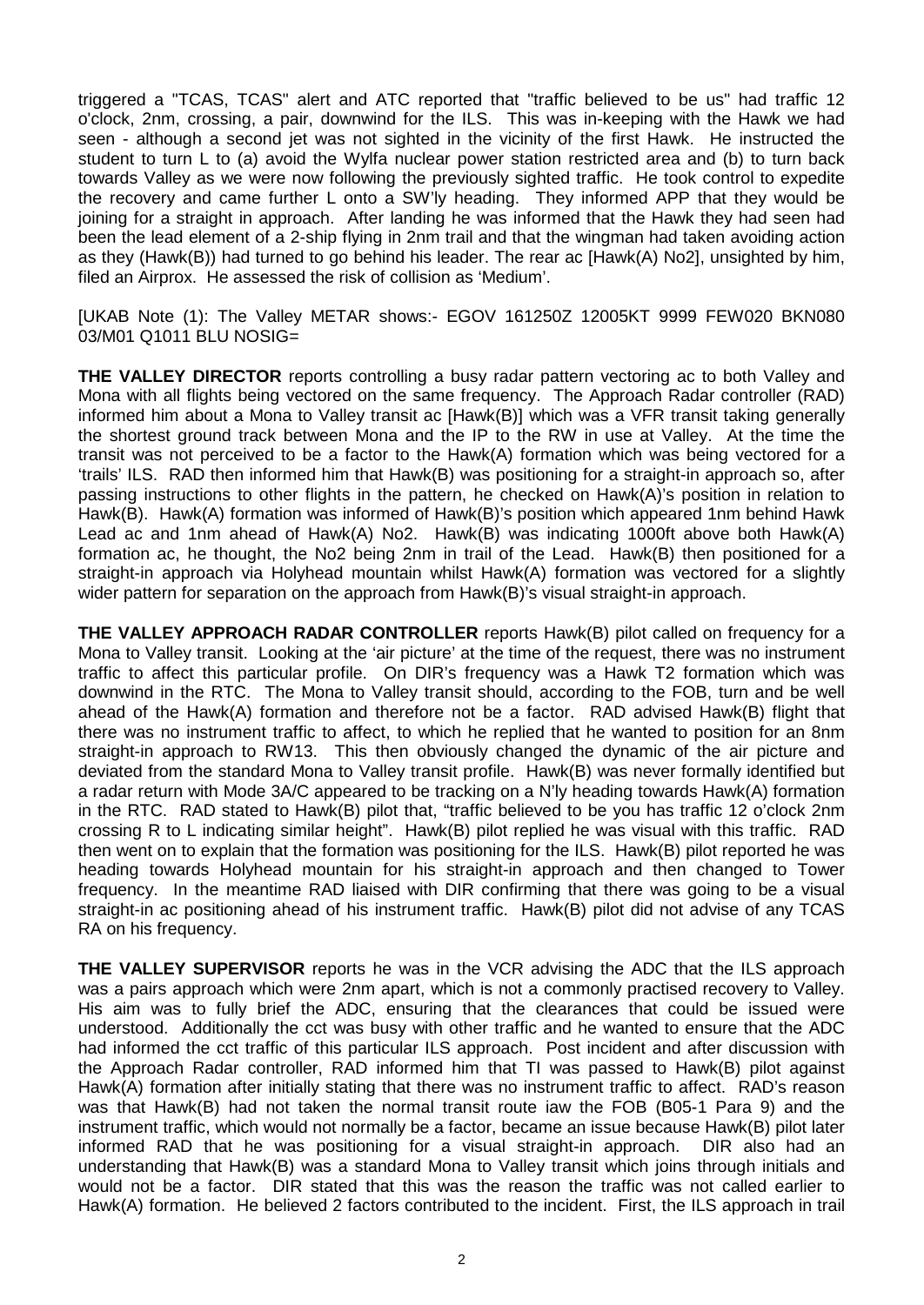triggered a "TCAS, TCAS" alert and ATC reported that "traffic believed to be us" had traffic 12 o'clock, 2nm, crossing, a pair, downwind for the ILS. This was in-keeping with the Hawk we had seen - although a second jet was not sighted in the vicinity of the first Hawk. He instructed the student to turn L to (a) avoid the Wylfa nuclear power station restricted area and (b) to turn back towards Valley as we were now following the previously sighted traffic. He took control to expedite the recovery and came further L onto a SW'ly heading. They informed APP that they would be joining for a straight in approach. After landing he was informed that the Hawk they had seen had been the lead element of a 2-ship flying in 2nm trail and that the wingman had taken avoiding action as they (Hawk(B)) had turned to go behind his leader. The rear ac [Hawk(A) No2], unsighted by him, filed an Airprox. He assessed the risk of collision as 'Medium'.

[UKAB Note (1): The Valley METAR shows:- EGOV 161250Z 12005KT 9999 FEW020 BKN080 03/M01 Q1011 BLU NOSIG=

**THE VALLEY DIRECTOR** reports controlling a busy radar pattern vectoring ac to both Valley and Mona with all flights being vectored on the same frequency. The Approach Radar controller (RAD) informed him about a Mona to Valley transit ac [Hawk(B)] which was a VFR transit taking generally the shortest ground track between Mona and the IP to the RW in use at Valley. At the time the transit was not perceived to be a factor to the Hawk(A) formation which was being vectored for a 'trails' ILS. RAD then informed him that Hawk(B) was positioning for a straight-in approach so, after passing instructions to other flights in the pattern, he checked on Hawk(A)'s position in relation to Hawk(B). Hawk(A) formation was informed of Hawk(B)'s position which appeared 1nm behind Hawk Lead ac and 1nm ahead of Hawk(A) No2. Hawk(B) was indicating 1000ft above both Hawk(A) formation ac, he thought, the No2 being 2nm in trail of the Lead. Hawk(B) then positioned for a straight-in approach via Holyhead mountain whilst Hawk(A) formation was vectored for a slightly wider pattern for separation on the approach from Hawk(B)'s visual straight-in approach.

**THE VALLEY APPROACH RADAR CONTROLLER** reports Hawk(B) pilot called on frequency for a Mona to Valley transit. Looking at the 'air picture' at the time of the request, there was no instrument traffic to affect this particular profile. On DIR's frequency was a Hawk T2 formation which was downwind in the RTC. The Mona to Valley transit should, according to the FOB, turn and be well ahead of the Hawk(A) formation and therefore not be a factor. RAD advised Hawk(B) flight that there was no instrument traffic to affect, to which he replied that he wanted to position for an 8nm straight-in approach to RW13. This then obviously changed the dynamic of the air picture and deviated from the standard Mona to Valley transit profile. Hawk(B) was never formally identified but a radar return with Mode 3A/C appeared to be tracking on a N'ly heading towards Hawk(A) formation in the RTC. RAD stated to Hawk(B) pilot that, "traffic believed to be you has traffic 12 o'clock 2nm crossing R to L indicating similar height". Hawk(B) pilot replied he was visual with this traffic. RAD then went on to explain that the formation was positioning for the ILS. Hawk(B) pilot reported he was heading towards Holyhead mountain for his straight-in approach and then changed to Tower frequency. In the meantime RAD liaised with DIR confirming that there was going to be a visual straight-in ac positioning ahead of his instrument traffic. Hawk(B) pilot did not advise of any TCAS RA on his frequency.

**THE VALLEY SUPERVISOR** reports he was in the VCR advising the ADC that the ILS approach was a pairs approach which were 2nm apart, which is not a commonly practised recovery to Valley. His aim was to fully brief the ADC, ensuring that the clearances that could be issued were understood. Additionally the cct was busy with other traffic and he wanted to ensure that the ADC had informed the cct traffic of this particular ILS approach. Post incident and after discussion with the Approach Radar controller, RAD informed him that TI was passed to Hawk(B) pilot against Hawk(A) formation after initially stating that there was no instrument traffic to affect. RAD's reason was that Hawk(B) had not taken the normal transit route iaw the FOB (B05-1 Para 9) and the instrument traffic, which would not normally be a factor, became an issue because Hawk(B) pilot later informed RAD that he was positioning for a visual straight-in approach. DIR also had an understanding that Hawk(B) was a standard Mona to Valley transit which joins through initials and would not be a factor. DIR stated that this was the reason the traffic was not called earlier to Hawk(A) formation. He believed 2 factors contributed to the incident. First, the ILS approach in trail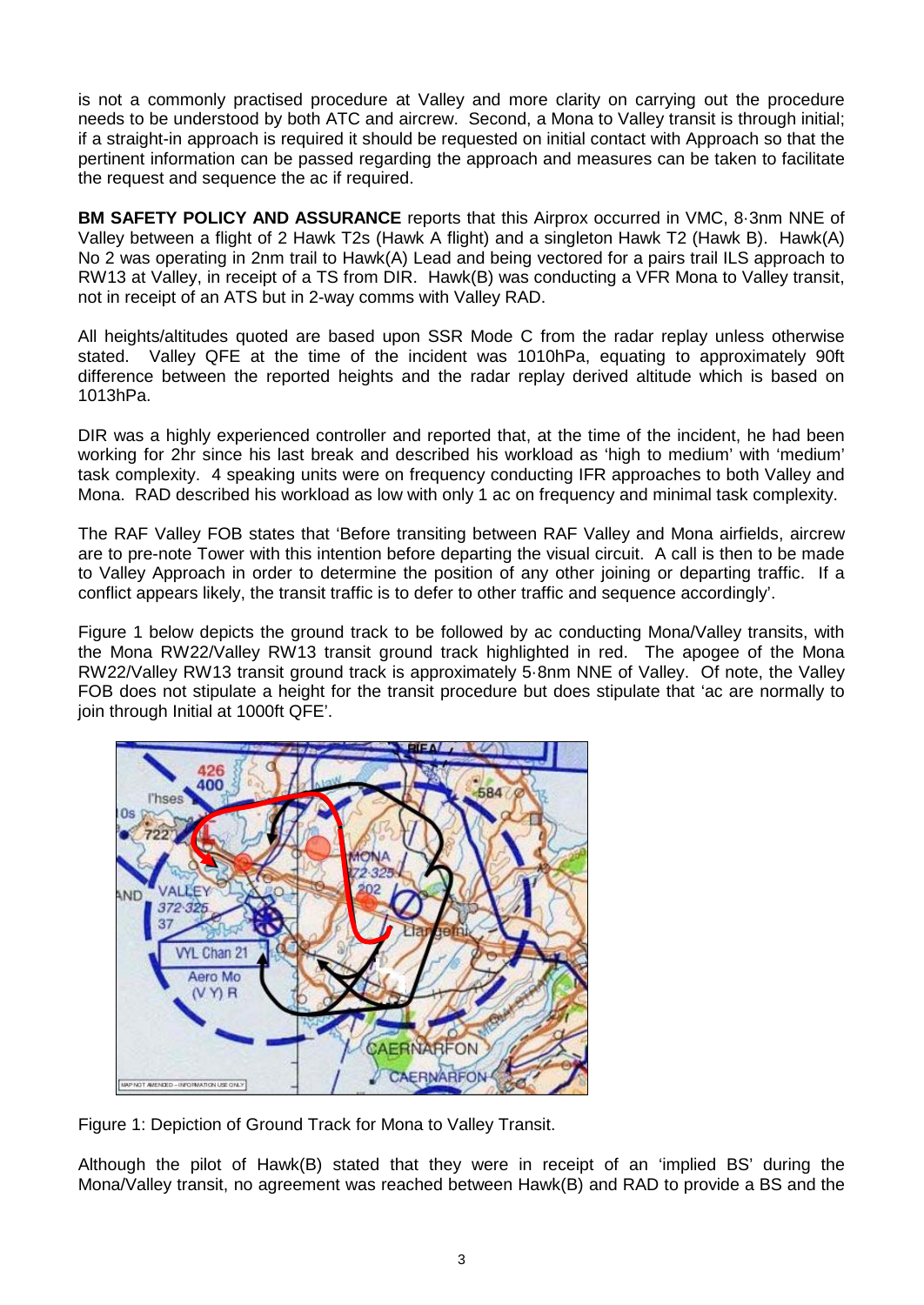is not a commonly practised procedure at Valley and more clarity on carrying out the procedure needs to be understood by both ATC and aircrew. Second, a Mona to Valley transit is through initial; if a straight-in approach is required it should be requested on initial contact with Approach so that the pertinent information can be passed regarding the approach and measures can be taken to facilitate the request and sequence the ac if required.

**BM SAFETY POLICY AND ASSURANCE** reports that this Airprox occurred in VMC, 8·3nm NNE of Valley between a flight of 2 Hawk T2s (Hawk A flight) and a singleton Hawk T2 (Hawk B). Hawk(A) No 2 was operating in 2nm trail to Hawk(A) Lead and being vectored for a pairs trail ILS approach to RW13 at Valley, in receipt of a TS from DIR. Hawk(B) was conducting a VFR Mona to Valley transit, not in receipt of an ATS but in 2-way comms with Valley RAD.

All heights/altitudes quoted are based upon SSR Mode C from the radar replay unless otherwise stated. Valley QFE at the time of the incident was 1010hPa, equating to approximately 90ft difference between the reported heights and the radar replay derived altitude which is based on 1013hPa.

DIR was a highly experienced controller and reported that, at the time of the incident, he had been working for 2hr since his last break and described his workload as 'high to medium' with 'medium' task complexity. 4 speaking units were on frequency conducting IFR approaches to both Valley and Mona. RAD described his workload as low with only 1 ac on frequency and minimal task complexity.

The RAF Valley FOB states that 'Before transiting between RAF Valley and Mona airfields, aircrew are to pre-note Tower with this intention before departing the visual circuit. A call is then to be made to Valley Approach in order to determine the position of any other joining or departing traffic. If a conflict appears likely, the transit traffic is to defer to other traffic and sequence accordingly'.

Figure 1 below depicts the ground track to be followed by ac conducting Mona/Valley transits, with the Mona RW22/Valley RW13 transit ground track highlighted in red. The apogee of the Mona RW22/Valley RW13 transit ground track is approximately 5·8nm NNE of Valley. Of note, the Valley FOB does not stipulate a height for the transit procedure but does stipulate that 'ac are normally to join through Initial at 1000ft QFE'.



Figure 1: Depiction of Ground Track for Mona to Valley Transit.

Although the pilot of Hawk(B) stated that they were in receipt of an 'implied BS' during the Mona/Valley transit, no agreement was reached between Hawk(B) and RAD to provide a BS and the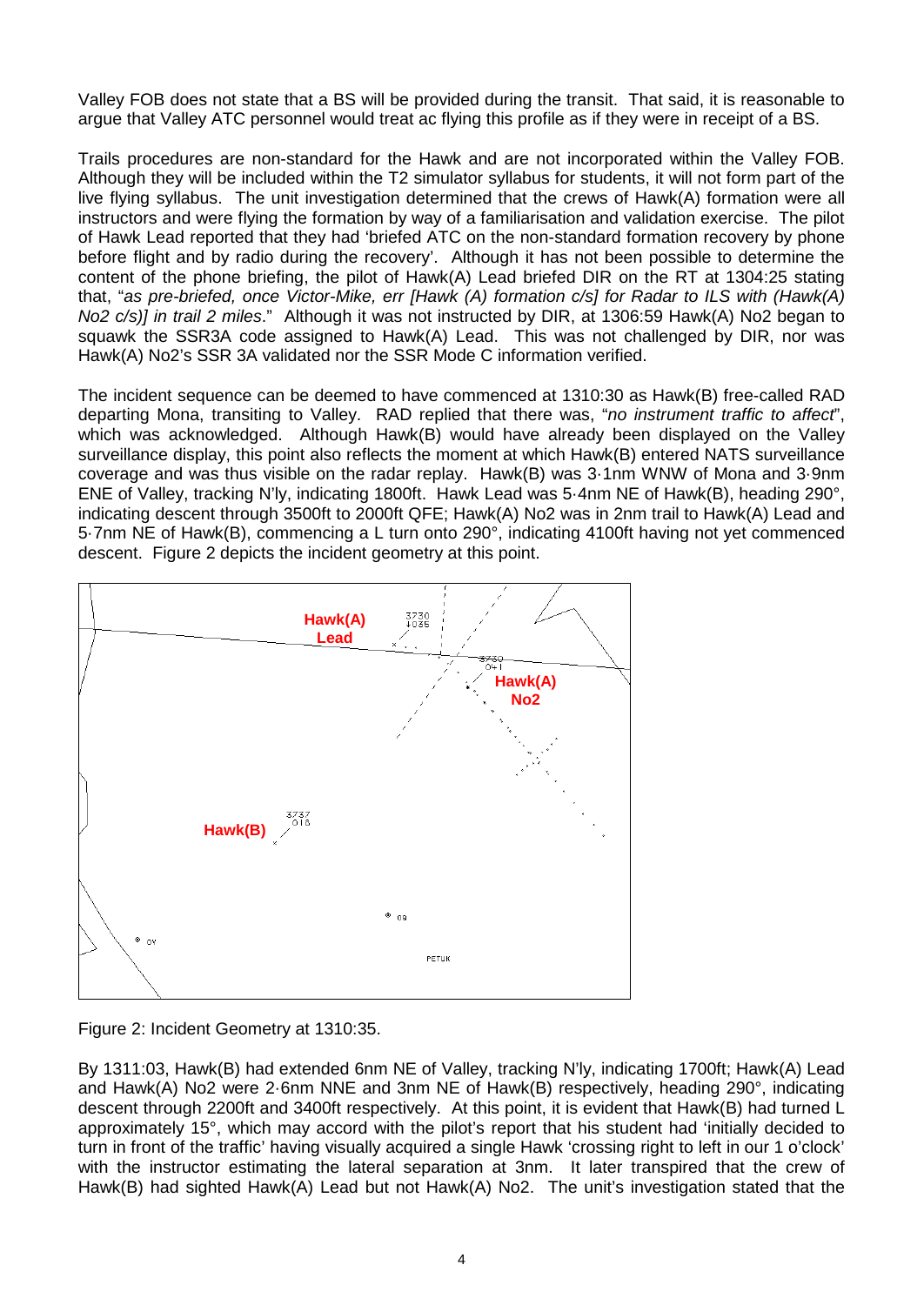Valley FOB does not state that a BS will be provided during the transit. That said, it is reasonable to argue that Valley ATC personnel would treat ac flying this profile as if they were in receipt of a BS.

Trails procedures are non-standard for the Hawk and are not incorporated within the Valley FOB. Although they will be included within the T2 simulator syllabus for students, it will not form part of the live flying syllabus. The unit investigation determined that the crews of Hawk(A) formation were all instructors and were flying the formation by way of a familiarisation and validation exercise. The pilot of Hawk Lead reported that they had 'briefed ATC on the non-standard formation recovery by phone before flight and by radio during the recovery'. Although it has not been possible to determine the content of the phone briefing, the pilot of Hawk(A) Lead briefed DIR on the RT at 1304:25 stating that, "*as pre-briefed, once Victor-Mike, err [Hawk (A) formation c/s] for Radar to ILS with (Hawk(A) No2 c/s)] in trail 2 miles*." Although it was not instructed by DIR, at 1306:59 Hawk(A) No2 began to squawk the SSR3A code assigned to Hawk(A) Lead. This was not challenged by DIR, nor was Hawk(A) No2's SSR 3A validated nor the SSR Mode C information verified.

The incident sequence can be deemed to have commenced at 1310:30 as Hawk(B) free-called RAD departing Mona, transiting to Valley. RAD replied that there was, "*no instrument traffic to affect*", which was acknowledged. Although Hawk(B) would have already been displayed on the Valley surveillance display, this point also reflects the moment at which Hawk(B) entered NATS surveillance coverage and was thus visible on the radar replay. Hawk(B) was 3·1nm WNW of Mona and 3·9nm ENE of Valley, tracking N'ly, indicating 1800ft. Hawk Lead was 5·4nm NE of Hawk(B), heading 290°, indicating descent through 3500ft to 2000ft QFE; Hawk(A) No2 was in 2nm trail to Hawk(A) Lead and 5·7nm NE of Hawk(B), commencing a L turn onto 290°, indicating 4100ft having not yet commenced descent. Figure 2 depicts the incident geometry at this point.





By 1311:03, Hawk(B) had extended 6nm NE of Valley, tracking N'ly, indicating 1700ft; Hawk(A) Lead and Hawk(A) No2 were 2·6nm NNE and 3nm NE of Hawk(B) respectively, heading 290°, indicating descent through 2200ft and 3400ft respectively. At this point, it is evident that Hawk(B) had turned L approximately 15°, which may accord with the pilot's report that his student had 'initially decided to turn in front of the traffic' having visually acquired a single Hawk 'crossing right to left in our 1 o'clock' with the instructor estimating the lateral separation at 3nm. It later transpired that the crew of Hawk(B) had sighted Hawk(A) Lead but not Hawk(A) No2. The unit's investigation stated that the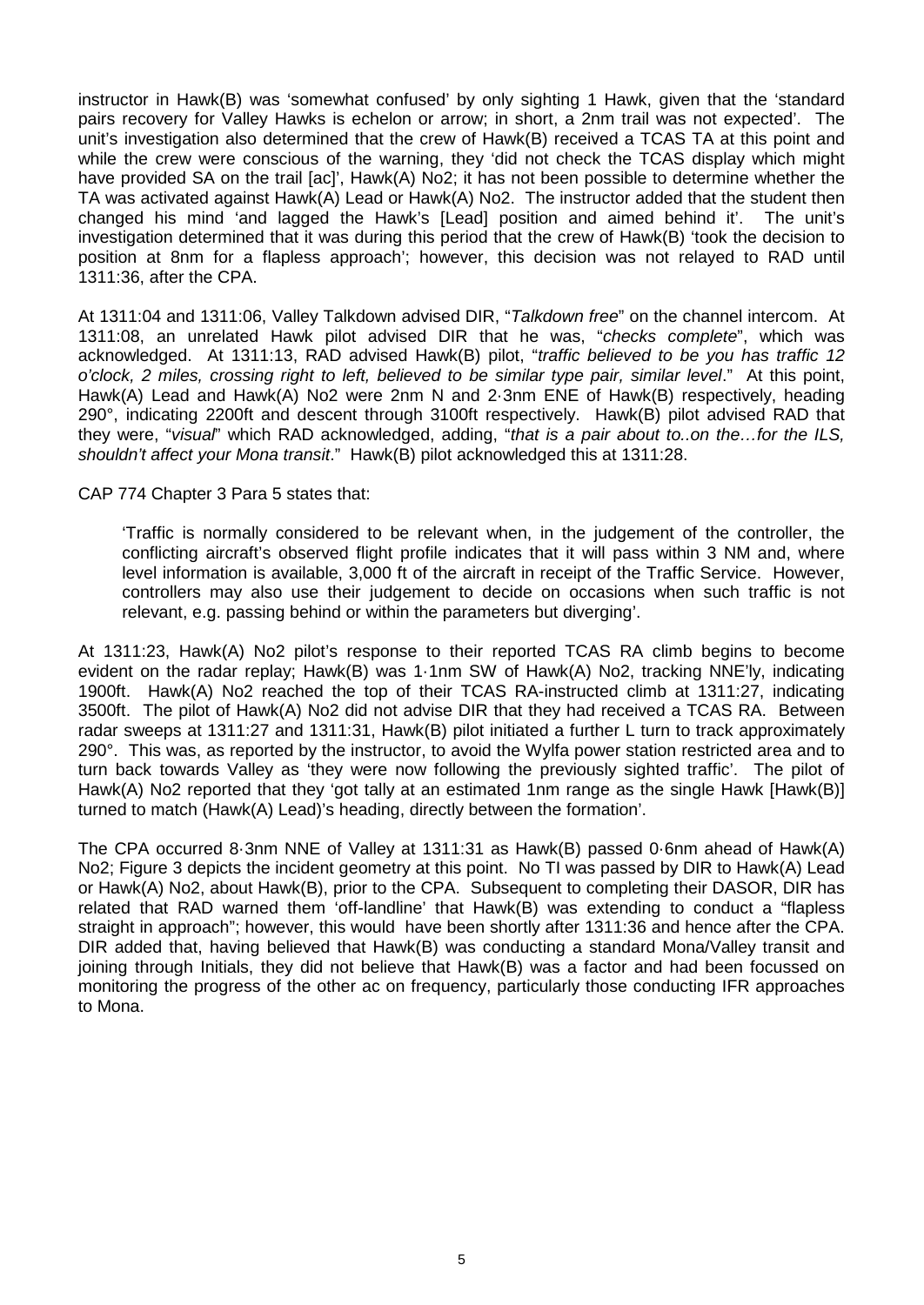instructor in Hawk(B) was 'somewhat confused' by only sighting 1 Hawk, given that the 'standard pairs recovery for Valley Hawks is echelon or arrow; in short, a 2nm trail was not expected'. The unit's investigation also determined that the crew of Hawk(B) received a TCAS TA at this point and while the crew were conscious of the warning, they 'did not check the TCAS display which might have provided SA on the trail [ac]', Hawk(A) No2; it has not been possible to determine whether the TA was activated against Hawk(A) Lead or Hawk(A) No2. The instructor added that the student then changed his mind 'and lagged the Hawk's [Lead] position and aimed behind it'. The unit's investigation determined that it was during this period that the crew of Hawk(B) 'took the decision to position at 8nm for a flapless approach'; however, this decision was not relayed to RAD until 1311:36, after the CPA.

At 1311:04 and 1311:06, Valley Talkdown advised DIR, "*Talkdown free*" on the channel intercom. At 1311:08, an unrelated Hawk pilot advised DIR that he was, "*checks complete*", which was acknowledged. At 1311:13, RAD advised Hawk(B) pilot, "*traffic believed to be you has traffic 12 o'clock, 2 miles, crossing right to left, believed to be similar type pair, similar level*." At this point, Hawk(A) Lead and Hawk(A) No2 were 2nm N and 2·3nm ENE of Hawk(B) respectively, heading 290°, indicating 2200ft and descent through 3100ft respectively. Hawk(B) pilot advised RAD that they were, "*visual*" which RAD acknowledged, adding, "*that is a pair about to..on the…for the ILS, shouldn't affect your Mona transit*." Hawk(B) pilot acknowledged this at 1311:28.

CAP 774 Chapter 3 Para 5 states that:

'Traffic is normally considered to be relevant when, in the judgement of the controller, the conflicting aircraft's observed flight profile indicates that it will pass within 3 NM and, where level information is available, 3,000 ft of the aircraft in receipt of the Traffic Service. However, controllers may also use their judgement to decide on occasions when such traffic is not relevant, e.g. passing behind or within the parameters but diverging'.

At 1311:23, Hawk(A) No2 pilot's response to their reported TCAS RA climb begins to become evident on the radar replay; Hawk(B) was 1·1nm SW of Hawk(A) No2, tracking NNE'ly, indicating 1900ft. Hawk(A) No2 reached the top of their TCAS RA-instructed climb at 1311:27, indicating 3500ft. The pilot of Hawk(A) No2 did not advise DIR that they had received a TCAS RA. Between radar sweeps at 1311:27 and 1311:31, Hawk(B) pilot initiated a further L turn to track approximately 290°. This was, as reported by the instructor, to avoid the Wylfa power station restricted area and to turn back towards Valley as 'they were now following the previously sighted traffic'. The pilot of Hawk(A) No2 reported that they 'got tally at an estimated 1nm range as the single Hawk [Hawk(B)] turned to match (Hawk(A) Lead)'s heading, directly between the formation'.

The CPA occurred 8·3nm NNE of Valley at 1311:31 as Hawk(B) passed 0·6nm ahead of Hawk(A) No2; Figure 3 depicts the incident geometry at this point. No TI was passed by DIR to Hawk(A) Lead or Hawk(A) No2, about Hawk(B), prior to the CPA. Subsequent to completing their DASOR, DIR has related that RAD warned them 'off-landline' that Hawk(B) was extending to conduct a "flapless straight in approach"; however, this would have been shortly after 1311:36 and hence after the CPA. DIR added that, having believed that Hawk(B) was conducting a standard Mona/Valley transit and joining through Initials, they did not believe that Hawk(B) was a factor and had been focussed on monitoring the progress of the other ac on frequency, particularly those conducting IFR approaches to Mona.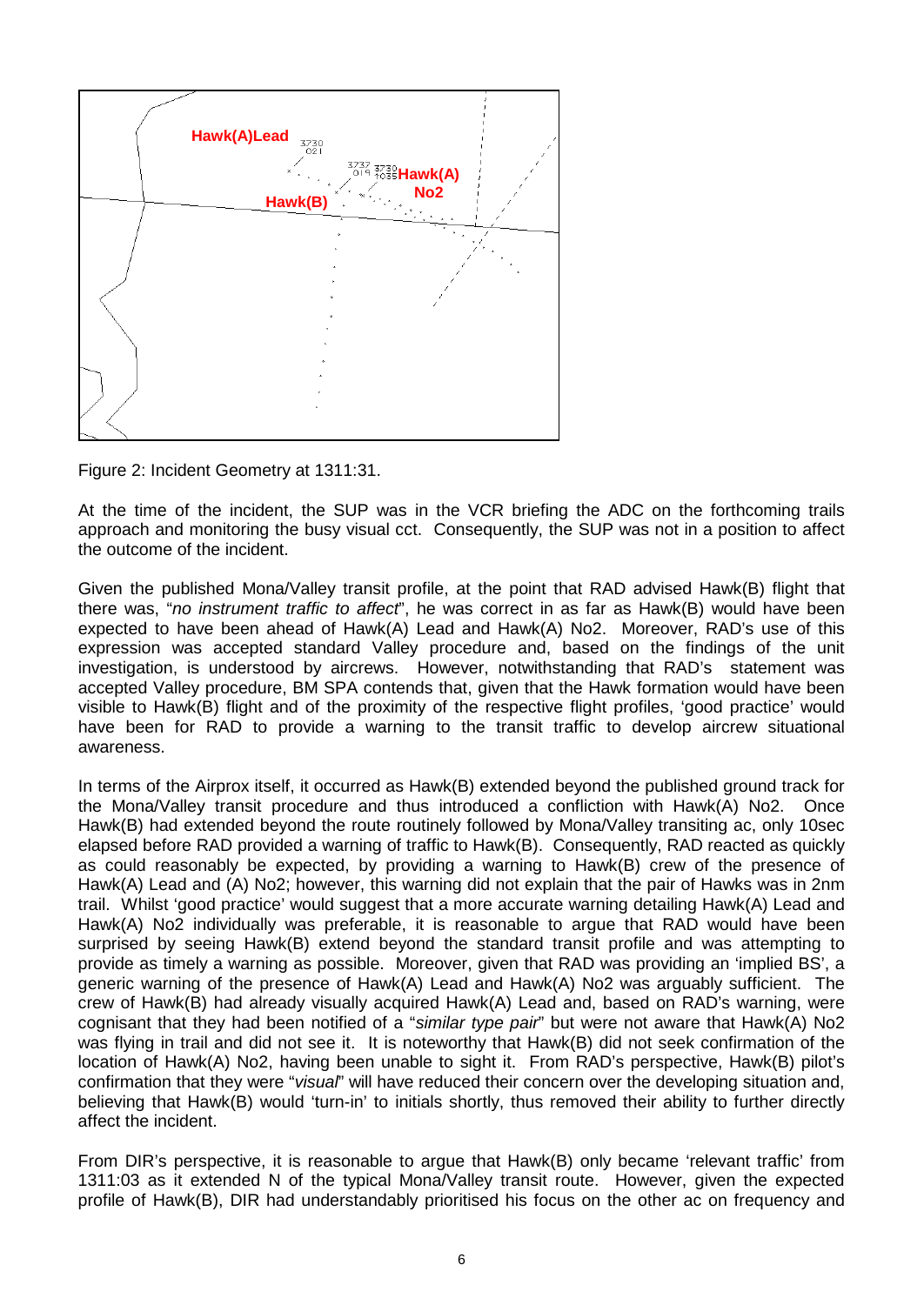

Figure 2: Incident Geometry at 1311:31.

At the time of the incident, the SUP was in the VCR briefing the ADC on the forthcoming trails approach and monitoring the busy visual cct. Consequently, the SUP was not in a position to affect the outcome of the incident.

Given the published Mona/Valley transit profile, at the point that RAD advised Hawk(B) flight that there was, "*no instrument traffic to affect*", he was correct in as far as Hawk(B) would have been expected to have been ahead of Hawk(A) Lead and Hawk(A) No2. Moreover, RAD's use of this expression was accepted standard Valley procedure and, based on the findings of the unit investigation, is understood by aircrews. However, notwithstanding that RAD's statement was accepted Valley procedure, BM SPA contends that, given that the Hawk formation would have been visible to Hawk(B) flight and of the proximity of the respective flight profiles, 'good practice' would have been for RAD to provide a warning to the transit traffic to develop aircrew situational awareness.

In terms of the Airprox itself, it occurred as Hawk(B) extended beyond the published ground track for the Mona/Valley transit procedure and thus introduced a confliction with Hawk(A) No2. Once Hawk(B) had extended beyond the route routinely followed by Mona/Valley transiting ac, only 10sec elapsed before RAD provided a warning of traffic to Hawk(B). Consequently, RAD reacted as quickly as could reasonably be expected, by providing a warning to Hawk(B) crew of the presence of Hawk(A) Lead and (A) No2; however, this warning did not explain that the pair of Hawks was in 2nm trail. Whilst 'good practice' would suggest that a more accurate warning detailing Hawk(A) Lead and Hawk(A) No2 individually was preferable, it is reasonable to argue that RAD would have been surprised by seeing Hawk(B) extend beyond the standard transit profile and was attempting to provide as timely a warning as possible. Moreover, given that RAD was providing an 'implied BS', a generic warning of the presence of Hawk(A) Lead and Hawk(A) No2 was arguably sufficient. The crew of Hawk(B) had already visually acquired Hawk(A) Lead and, based on RAD's warning, were cognisant that they had been notified of a "*similar type pair*" but were not aware that Hawk(A) No2 was flying in trail and did not see it. It is noteworthy that Hawk(B) did not seek confirmation of the location of Hawk(A) No2, having been unable to sight it. From RAD's perspective, Hawk(B) pilot's confirmation that they were "*visual*" will have reduced their concern over the developing situation and, believing that Hawk(B) would 'turn-in' to initials shortly, thus removed their ability to further directly affect the incident.

From DIR's perspective, it is reasonable to argue that Hawk(B) only became 'relevant traffic' from 1311:03 as it extended N of the typical Mona/Valley transit route. However, given the expected profile of Hawk(B), DIR had understandably prioritised his focus on the other ac on frequency and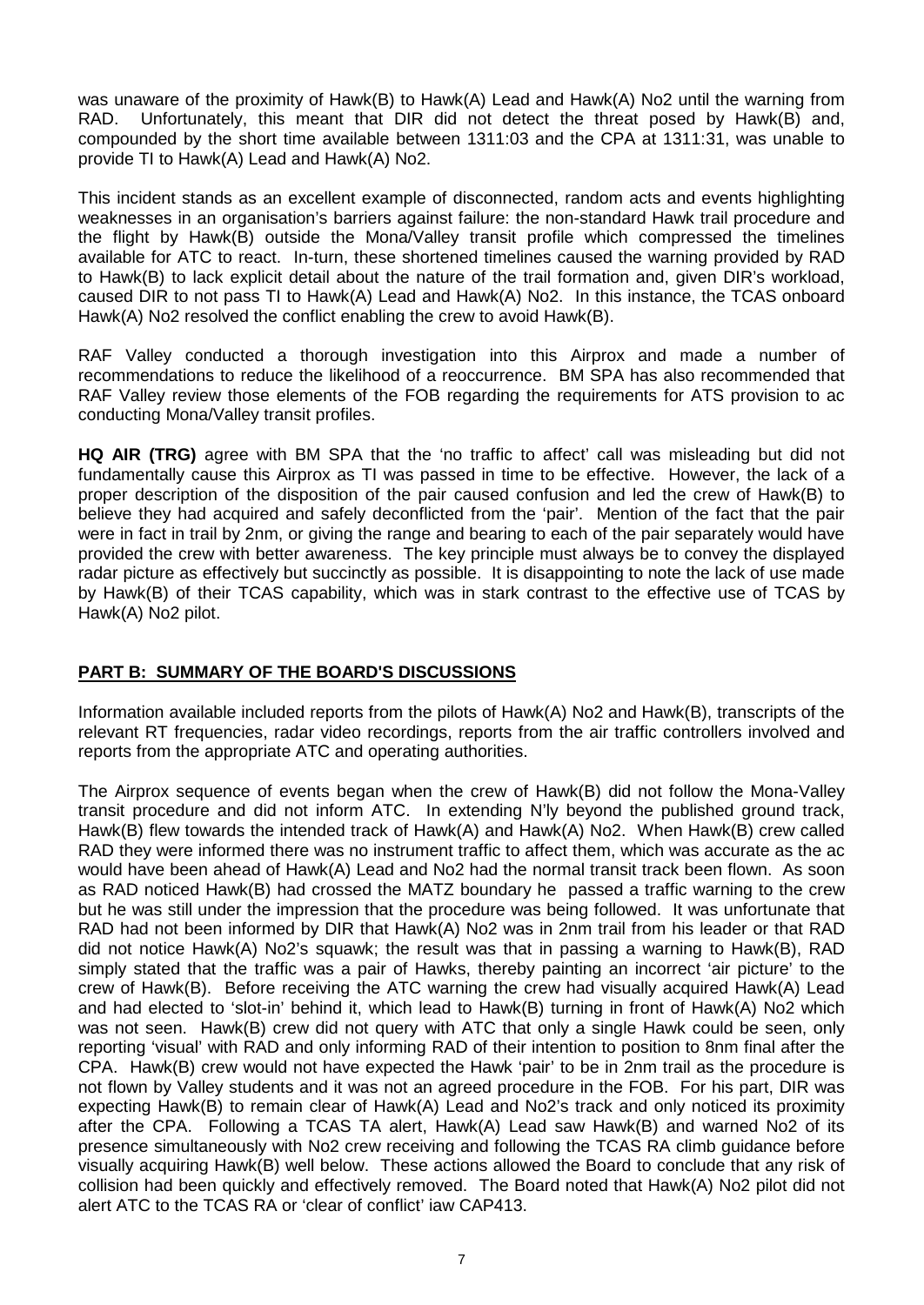was unaware of the proximity of Hawk(B) to Hawk(A) Lead and Hawk(A) No2 until the warning from RAD. Unfortunately, this meant that DIR did not detect the threat posed by Hawk(B) and, compounded by the short time available between 1311:03 and the CPA at 1311:31, was unable to provide TI to Hawk(A) Lead and Hawk(A) No2.

This incident stands as an excellent example of disconnected, random acts and events highlighting weaknesses in an organisation's barriers against failure: the non-standard Hawk trail procedure and the flight by Hawk(B) outside the Mona/Valley transit profile which compressed the timelines available for ATC to react. In-turn, these shortened timelines caused the warning provided by RAD to Hawk(B) to lack explicit detail about the nature of the trail formation and, given DIR's workload, caused DIR to not pass TI to Hawk(A) Lead and Hawk(A) No2. In this instance, the TCAS onboard Hawk(A) No2 resolved the conflict enabling the crew to avoid Hawk(B).

RAF Valley conducted a thorough investigation into this Airprox and made a number of recommendations to reduce the likelihood of a reoccurrence. BM SPA has also recommended that RAF Valley review those elements of the FOB regarding the requirements for ATS provision to ac conducting Mona/Valley transit profiles.

**HQ AIR (TRG)** agree with BM SPA that the 'no traffic to affect' call was misleading but did not fundamentally cause this Airprox as TI was passed in time to be effective. However, the lack of a proper description of the disposition of the pair caused confusion and led the crew of Hawk(B) to believe they had acquired and safely deconflicted from the 'pair'. Mention of the fact that the pair were in fact in trail by 2nm, or giving the range and bearing to each of the pair separately would have provided the crew with better awareness. The key principle must always be to convey the displayed radar picture as effectively but succinctly as possible. It is disappointing to note the lack of use made by Hawk(B) of their TCAS capability, which was in stark contrast to the effective use of TCAS by Hawk(A) No2 pilot.

## **PART B: SUMMARY OF THE BOARD'S DISCUSSIONS**

Information available included reports from the pilots of Hawk(A) No2 and Hawk(B), transcripts of the relevant RT frequencies, radar video recordings, reports from the air traffic controllers involved and reports from the appropriate ATC and operating authorities.

The Airprox sequence of events began when the crew of Hawk(B) did not follow the Mona-Valley transit procedure and did not inform ATC. In extending N'ly beyond the published ground track, Hawk(B) flew towards the intended track of Hawk(A) and Hawk(A) No2. When Hawk(B) crew called RAD they were informed there was no instrument traffic to affect them, which was accurate as the ac would have been ahead of Hawk(A) Lead and No2 had the normal transit track been flown. As soon as RAD noticed Hawk(B) had crossed the MATZ boundary he passed a traffic warning to the crew but he was still under the impression that the procedure was being followed. It was unfortunate that RAD had not been informed by DIR that Hawk(A) No2 was in 2nm trail from his leader or that RAD did not notice Hawk(A) No2's squawk; the result was that in passing a warning to Hawk(B), RAD simply stated that the traffic was a pair of Hawks, thereby painting an incorrect 'air picture' to the crew of Hawk(B). Before receiving the ATC warning the crew had visually acquired Hawk(A) Lead and had elected to 'slot-in' behind it, which lead to Hawk(B) turning in front of Hawk(A) No2 which was not seen. Hawk(B) crew did not query with ATC that only a single Hawk could be seen, only reporting 'visual' with RAD and only informing RAD of their intention to position to 8nm final after the CPA. Hawk(B) crew would not have expected the Hawk 'pair' to be in 2nm trail as the procedure is not flown by Valley students and it was not an agreed procedure in the FOB. For his part, DIR was expecting Hawk(B) to remain clear of Hawk(A) Lead and No2's track and only noticed its proximity after the CPA. Following a TCAS TA alert, Hawk(A) Lead saw Hawk(B) and warned No2 of its presence simultaneously with No2 crew receiving and following the TCAS RA climb guidance before visually acquiring Hawk(B) well below. These actions allowed the Board to conclude that any risk of collision had been quickly and effectively removed. The Board noted that Hawk(A) No2 pilot did not alert ATC to the TCAS RA or 'clear of conflict' iaw CAP413.